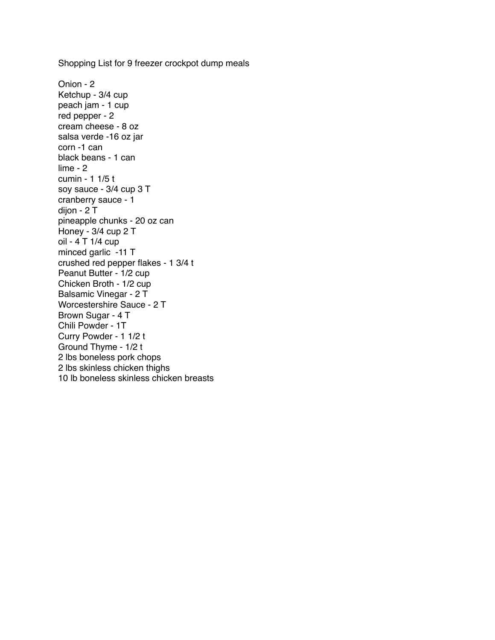Onion - 2 Ketchup - 3/4 cup peach jam - 1 cup red pepper - 2 cream cheese - 8 oz salsa verde -16 oz jar corn -1 can black beans - 1 can lime - 2 cumin - 1 1/5 t soy sauce - 3/4 cup 3 T cranberry sauce - 1 dijon - 2 T pineapple chunks - 20 oz can Honey - 3/4 cup 2 T oil - 4 T 1/4 cup minced garlic -11 T crushed red pepper flakes - 1 3/4 t Peanut Butter - 1/2 cup Chicken Broth - 1/2 cup Balsamic Vinegar - 2 T Worcestershire Sauce - 2 T Brown Sugar - 4 T Chili Powder - 1T Curry Powder - 1 1/2 t Ground Thyme - 1/2 t 2 lbs boneless pork chops 2 lbs skinless chicken thighs 10 lb boneless skinless chicken breasts

Shopping List for 9 freezer crockpot dump meals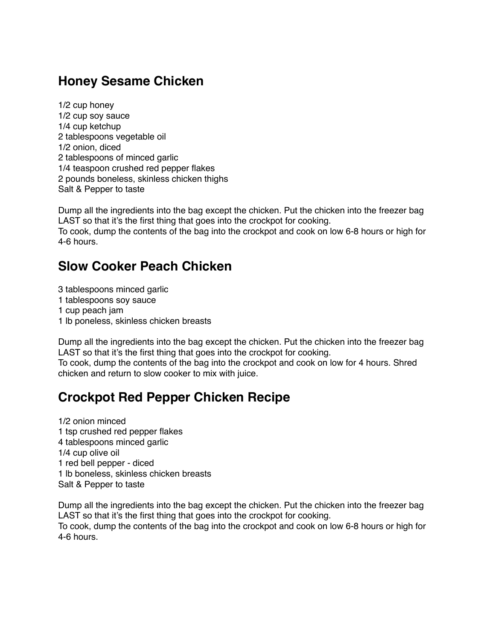#### **Honey Sesame Chicken**

1/2 cup honey 1/2 cup soy sauce 1/4 cup ketchup 2 tablespoons vegetable oil 1/2 onion, diced 2 tablespoons of minced garlic 1/4 teaspoon crushed red pepper flakes 2 pounds boneless, skinless chicken thighs Salt & Pepper to taste

Dump all the ingredients into the bag except the chicken. Put the chicken into the freezer bag LAST so that it's the first thing that goes into the crockpot for cooking.

To cook, dump the contents of the bag into the crockpot and cook on low 6-8 hours or high for 4-6 hours.

#### **Slow Cooker Peach Chicken**

3 tablespoons minced garlic

- 1 tablespoons soy sauce
- 1 cup peach jam
- 1 lb poneless, skinless chicken breasts

Dump all the ingredients into the bag except the chicken. Put the chicken into the freezer bag LAST so that it's the first thing that goes into the crockpot for cooking.

To cook, dump the contents of the bag into the crockpot and cook on low for 4 hours. Shred chicken and return to slow cooker to mix with juice.

# **Crockpot Red Pepper Chicken Recipe**

1/2 onion minced 1 tsp crushed red pepper flakes 4 tablespoons minced garlic 1/4 cup olive oil 1 red bell pepper - diced 1 lb boneless, skinless chicken breasts Salt & Pepper to taste

Dump all the ingredients into the bag except the chicken. Put the chicken into the freezer bag LAST so that it's the first thing that goes into the crockpot for cooking. To cook, dump the contents of the bag into the crockpot and cook on low 6-8 hours or high for 4-6 hours.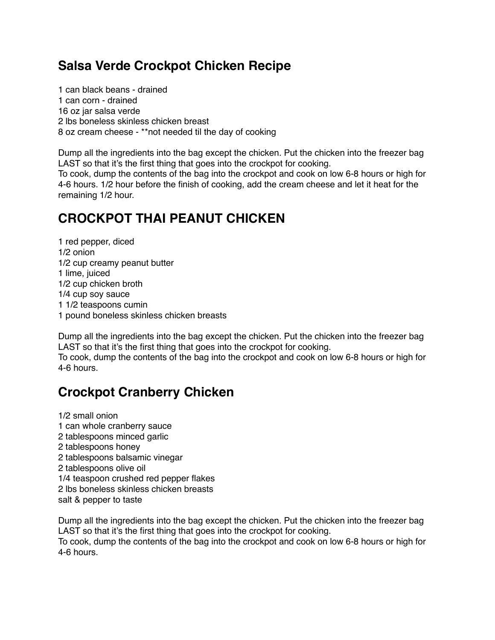#### **Salsa Verde Crockpot Chicken Recipe**

1 can black beans - drained 1 can corn - drained 16 oz jar salsa verde 2 lbs boneless skinless chicken breast 8 oz cream cheese - \*\*not needed til the day of cooking

Dump all the ingredients into the bag except the chicken. Put the chicken into the freezer bag LAST so that it's the first thing that goes into the crockpot for cooking. To cook, dump the contents of the bag into the crockpot and cook on low 6-8 hours or high for 4-6 hours. 1/2 hour before the finish of cooking, add the cream cheese and let it heat for the remaining 1/2 hour.

# **CROCKPOT THAI PEANUT CHICKEN**

1 red pepper, diced 1/2 onion 1/2 cup creamy peanut butter 1 lime, juiced 1/2 cup chicken broth 1/4 cup soy sauce 1 1/2 teaspoons cumin 1 pound boneless skinless chicken breasts

Dump all the ingredients into the bag except the chicken. Put the chicken into the freezer bag LAST so that it's the first thing that goes into the crockpot for cooking. To cook, dump the contents of the bag into the crockpot and cook on low 6-8 hours or high for

4-6 hours.

# **Crockpot Cranberry Chicken**

1/2 small onion 1 can whole cranberry sauce 2 tablespoons minced garlic 2 tablespoons honey 2 tablespoons balsamic vinegar 2 tablespoons olive oil 1/4 teaspoon crushed red pepper flakes 2 lbs boneless skinless chicken breasts salt & pepper to taste

Dump all the ingredients into the bag except the chicken. Put the chicken into the freezer bag LAST so that it's the first thing that goes into the crockpot for cooking. To cook, dump the contents of the bag into the crockpot and cook on low 6-8 hours or high for 4-6 hours.